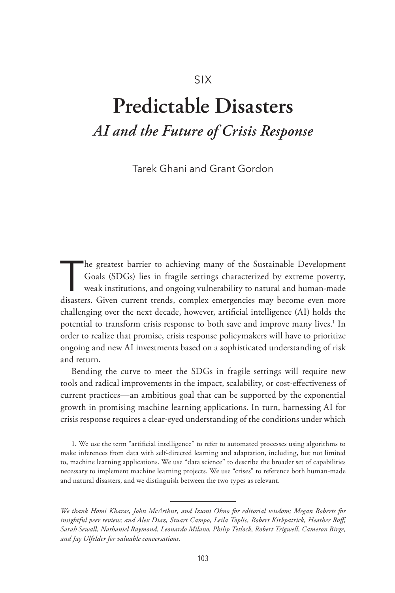# SIX

# **Predictable Disasters** *AI and the Future of Crisis Response*

Tarek Ghani and Grant Gordon

The greatest barrier to achieving many of the Sustainable Development<br>
Goals (SDGs) lies in fragile settings characterized by extreme poverty,<br>
weak institutions, and ongoing vulnerability to natural and human-made<br>
discre Goals (SDGs) lies in fragile settings characterized by extreme poverty, disasters. Given current trends, complex emergencies may become even more challenging over the next decade, however, artificial intelligence (AI) holds the potential to transform crisis response to both save and improve many lives.<sup>1</sup> In order to realize that promise, crisis response policymakers will have to prioritize ongoing and new AI investments based on a sophisticated understanding of risk and return.

Bending the curve to meet the SDGs in fragile settings will require new tools and radical improvements in the impact, scalability, or cost-effectiveness of current practices—an ambitious goal that can be supported by the exponential growth in promising machine learning applications. In turn, harnessing AI for crisis response requires a clear-eyed understanding of the conditions under which

1. We use the term "artificial intelligence" to refer to automated processes using algorithms to make inferences from data with self-directed learning and adaptation, including, but not limited to, machine learning applications. We use "data science" to describe the broader set of capabilities necessary to implement machine learning projects. We use "crises" to reference both human-made and natural disasters, and we distinguish between the two types as relevant.

*We thank Homi Kharas, John McArthur, and Izumi Ohno for editorial wisdom; Megan Roberts for insightful peer review; and Alex Diaz, Stuart Campo, Leila Toplic, Robert Kirkpatrick, Heather Roff, Sarah Sewall, Nathaniel Raymond, Leonardo Milano, Philip Tetlock, Robert Trigwell, Cameron Birge, and Jay Ulfelder for valuable conversations.*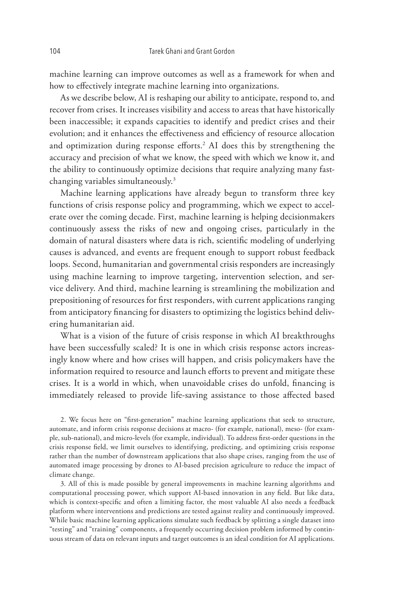machine learning can improve outcomes as well as a framework for when and how to effectively integrate machine learning into organizations.

As we describe below, AI is reshaping our ability to anticipate, respond to, and recover from crises. It increases visibility and access to areas that have historically been inaccessible; it expands capacities to identify and predict crises and their evolution; and it enhances the effectiveness and efficiency of resource allocation and optimization during response efforts.<sup>2</sup> AI does this by strengthening the accuracy and precision of what we know, the speed with which we know it, and the ability to continuously optimize decisions that require analyzing many fastchanging variables simultaneously.3

Machine learning applications have already begun to transform three key functions of crisis response policy and programming, which we expect to accelerate over the coming decade. First, machine learning is helping decisionmakers continuously assess the risks of new and ongoing crises, particularly in the domain of natural disasters where data is rich, scientific modeling of underlying causes is advanced, and events are frequent enough to support robust feedback loops. Second, humanitarian and governmental crisis responders are increasingly using machine learning to improve targeting, intervention selection, and service delivery. And third, machine learning is streamlining the mobilization and prepositioning of resources for first responders, with current applications ranging from anticipatory financing for disasters to optimizing the logistics behind delivering humanitarian aid.

What is a vision of the future of crisis response in which AI breakthroughs have been successfully scaled? It is one in which crisis response actors increasingly know where and how crises will happen, and crisis policymakers have the information required to resource and launch efforts to prevent and mitigate these crises. It is a world in which, when unavoidable crises do unfold, financing is immediately released to provide life-saving assistance to those affected based

2. We focus here on "first-generation" machine learning applications that seek to structure, automate, and inform crisis response decisions at macro- (for example, national), meso- (for example, sub-national), and micro-levels (for example, individual). To address first-order questions in the crisis response field, we limit ourselves to identifying, predicting, and optimizing crisis response rather than the number of downstream applications that also shape crises, ranging from the use of automated image processing by drones to AI-based precision agriculture to reduce the impact of climate change.

3. All of this is made possible by general improvements in machine learning algorithms and computational processing power, which support AI-based innovation in any field. But like data, which is context-specific and often a limiting factor, the most valuable AI also needs a feedback platform where interventions and predictions are tested against reality and continuously improved. While basic machine learning applications simulate such feedback by splitting a single dataset into "testing" and "training" components, a frequently occurring decision problem informed by continuous stream of data on relevant inputs and target outcomes is an ideal condition for AI applications.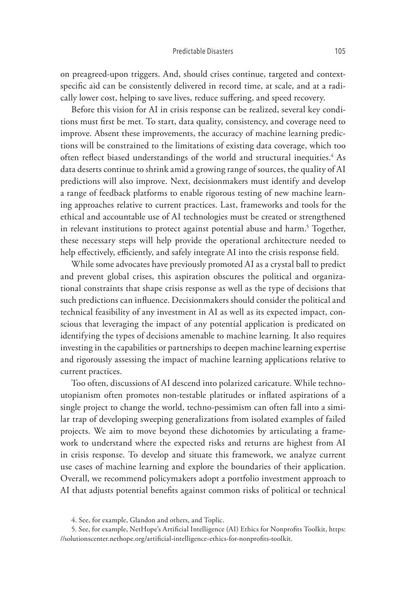#### Predictable Disasters 105

on preagreed-upon triggers. And, should crises continue, targeted and contextspecific aid can be consistently delivered in record time, at scale, and at a radically lower cost, helping to save lives, reduce suffering, and speed recovery.

Before this vision for AI in crisis response can be realized, several key conditions must first be met. To start, data quality, consistency, and coverage need to improve. Absent these improvements, the accuracy of machine learning predictions will be constrained to the limitations of existing data coverage, which too often reflect biased understandings of the world and structural inequities.<sup>4</sup> As data deserts continue to shrink amid a growing range of sources, the quality of AI predictions will also improve. Next, decisionmakers must identify and develop a range of feedback platforms to enable rigorous testing of new machine learning approaches relative to current practices. Last, frameworks and tools for the ethical and accountable use of AI technologies must be created or strengthened in relevant institutions to protect against potential abuse and harm.<sup>5</sup> Together, these necessary steps will help provide the operational architecture needed to help effectively, efficiently, and safely integrate AI into the crisis response field.

While some advocates have previously promoted AI as a crystal ball to predict and prevent global crises, this aspiration obscures the political and organizational constraints that shape crisis response as well as the type of decisions that such predictions can influence. Decisionmakers should consider the political and technical feasibility of any investment in AI as well as its expected impact, conscious that leveraging the impact of any potential application is predicated on identifying the types of decisions amenable to machine learning. It also requires investing in the capabilities or partnerships to deepen machine learning expertise and rigorously assessing the impact of machine learning applications relative to current practices.

Too often, discussions of AI descend into polarized caricature. While technoutopianism often promotes non-testable platitudes or inflated aspirations of a single project to change the world, techno-pessimism can often fall into a similar trap of developing sweeping generalizations from isolated examples of failed projects. We aim to move beyond these dichotomies by articulating a framework to understand where the expected risks and returns are highest from AI in crisis response. To develop and situate this framework, we analyze current use cases of machine learning and explore the boundaries of their application. Overall, we recommend policymakers adopt a portfolio investment approach to AI that adjusts potential benefits against common risks of political or technical

<sup>4.</sup> See, for example, Glandon and others, and Toplic.

<sup>5.</sup> See, for example, NetHope's Artificial Intelligence (AI) Ethics for Nonprofits Toolkit, https: //solutionscenter.nethope.org/artificial-intelligence-ethics-for-nonprofits-toolkit.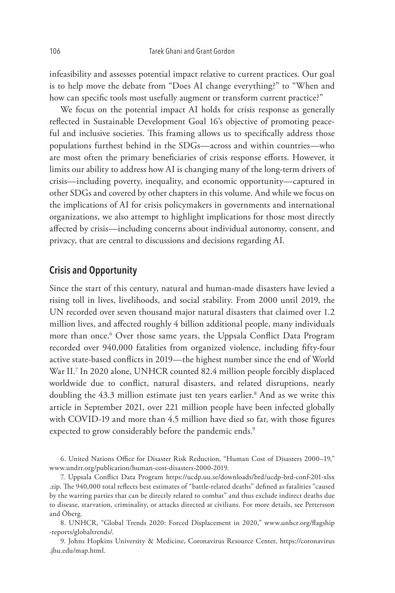infeasibility and assesses potential impact relative to current practices. Our goal is to help move the debate from "Does AI change everything?" to "When and how can specific tools most usefully augment or transform current practice?"

We focus on the potential impact AI holds for crisis response as generally reflected in Sustainable Development Goal 16's objective of promoting peaceful and inclusive societies. This framing allows us to specifically address those populations furthest behind in the SDGs—across and within countries—who are most often the primary beneficiaries of crisis response efforts. However, it limits our ability to address how AI is changing many of the long-term drivers of crisis—including poverty, inequality, and economic opportunity—captured in other SDGs and covered by other chapters in this volume. And while we focus on the implications of AI for crisis policymakers in governments and international organizations, we also attempt to highlight implications for those most directly affected by crisis—including concerns about individual autonomy, consent, and privacy, that are central to discussions and decisions regarding AI.

### **Crisis and Opportunity**

Since the start of this century, natural and human-made disasters have levied a rising toll in lives, livelihoods, and social stability. From 2000 until 2019, the UN recorded over seven thousand major natural disasters that claimed over 1.2 million lives, and affected roughly 4 billion additional people, many individuals more than once.<sup>6</sup> Over those same years, the Uppsala Conflict Data Program recorded over 940,000 fatalities from organized violence, including fifty-four active state-based conflicts in 2019—the highest number since the end of World War II.7 In 2020 alone, UNHCR counted 82.4 million people forcibly displaced worldwide due to conflict, natural disasters, and related disruptions, nearly doubling the 43.3 million estimate just ten years earlier.<sup>8</sup> And as we write this article in September 2021, over 221 million people have been infected globally with COVID-19 and more than 4.5 million have died so far, with those figures expected to grow considerably before the pandemic ends.<sup>9</sup>

6. United Nations Office for Disaster Risk Reduction, "Human Cost of Disasters 2000–19," www.undrr.org/publication/human-cost-disasters-2000-2019.

7. Uppsala Conflict Data Program https://ucdp.uu.se/downloads/brd/ucdp-brd-conf-201-xlsx .zip. The 940,000 total reflects best estimates of "battle-related deaths" defined as fatalities "caused by the warring parties that can be directly related to combat" and thus exclude indirect deaths due to disease, starvation, criminality, or attacks directed at civilians. For more details, see Pettersson and Öberg.

8. UNHCR, "Global Trends 2020: Forced Displacement in 2020," www.unhcr.org/flagship -reports/globaltrends/.

9. Johns Hopkins University & Medicine, Coronavirus Resource Center, https://coronavirus .jhu.edu/map.html.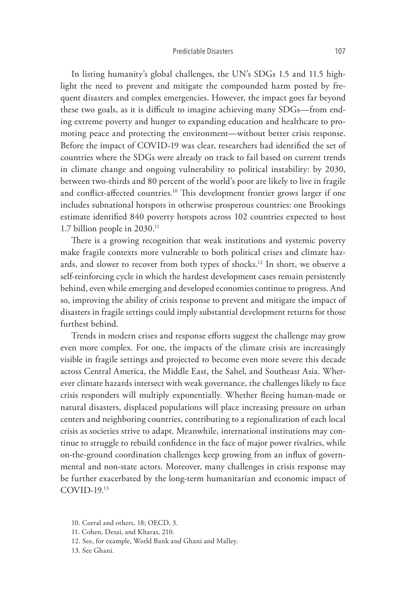In listing humanity's global challenges, the UN's SDGs 1.5 and 11.5 highlight the need to prevent and mitigate the compounded harm posted by frequent disasters and complex emergencies. However, the impact goes far beyond these two goals, as it is difficult to imagine achieving many SDGs—from ending extreme poverty and hunger to expanding education and healthcare to promoting peace and protecting the environment—without better crisis response. Before the impact of COVID-19 was clear, researchers had identified the set of countries where the SDGs were already on track to fail based on current trends in climate change and ongoing vulnerability to political instability: by 2030, between two-thirds and 80 percent of the world's poor are likely to live in fragile and conflict-affected countries.<sup>10</sup> This development frontier grows larger if one includes subnational hotspots in otherwise prosperous countries: one Brookings estimate identified 840 poverty hotspots across 102 countries expected to host 1.7 billion people in 2030.11

There is a growing recognition that weak institutions and systemic poverty make fragile contexts more vulnerable to both political crises and climate hazards, and slower to recover from both types of shocks.12 In short, we observe a self-reinforcing cycle in which the hardest development cases remain persistently behind, even while emerging and developed economies continue to progress. And so, improving the ability of crisis response to prevent and mitigate the impact of disasters in fragile settings could imply substantial development returns for those furthest behind.

Trends in modern crises and response efforts suggest the challenge may grow even more complex. For one, the impacts of the climate crisis are increasingly visible in fragile settings and projected to become even more severe this decade across Central America, the Middle East, the Sahel, and Southeast Asia. Wherever climate hazards intersect with weak governance, the challenges likely to face crisis responders will multiply exponentially. Whether fleeing human-made or natural disasters, displaced populations will place increasing pressure on urban centers and neighboring countries, contributing to a regionalization of each local crisis as societies strive to adapt. Meanwhile, international institutions may continue to struggle to rebuild confidence in the face of major power rivalries, while on-the-ground coordination challenges keep growing from an influx of governmental and non-state actors. Moreover, many challenges in crisis response may be further exacerbated by the long-term humanitarian and economic impact of COVID-19.13

<sup>10.</sup> Corral and others, 18; OECD, 3.

<sup>11.</sup> Cohen, Desai, and Kharas, 210.

<sup>12.</sup> See, for example, World Bank and Ghani and Malley.

<sup>13.</sup> See Ghani.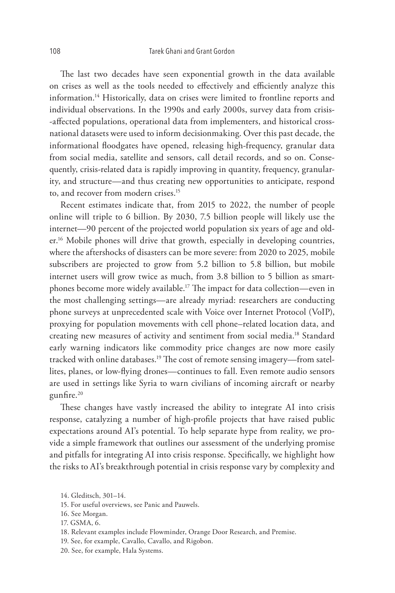The last two decades have seen exponential growth in the data available on crises as well as the tools needed to effectively and efficiently analyze this information.<sup>14</sup> Historically, data on crises were limited to frontline reports and individual observations. In the 1990s and early 2000s, survey data from crisis- -affected populations, operational data from implementers, and historical crossnational datasets were used to inform decisionmaking. Over this past decade, the informational floodgates have opened, releasing high-frequency, granular data from social media, satellite and sensors, call detail records, and so on. Consequently, crisis-related data is rapidly improving in quantity, frequency, granularity, and structure—and thus creating new opportunities to anticipate, respond to, and recover from modern crises.15

Recent estimates indicate that, from 2015 to 2022, the number of people online will triple to 6 billion. By 2030, 7.5 billion people will likely use the internet—90 percent of the projected world population six years of age and older.<sup>16</sup> Mobile phones will drive that growth, especially in developing countries, where the aftershocks of disasters can be more severe: from 2020 to 2025, mobile subscribers are projected to grow from 5.2 billion to 5.8 billion, but mobile internet users will grow twice as much, from 3.8 billion to 5 billion as smartphones become more widely available.17 The impact for data collection—even in the most challenging settings—are already myriad: researchers are conducting phone surveys at unprecedented scale with Voice over Internet Protocol (VoIP), proxying for population movements with cell phone–related location data, and creating new measures of activity and sentiment from social media.18 Standard early warning indicators like commodity price changes are now more easily tracked with online databases.19 The cost of remote sensing imagery—from satellites, planes, or low-flying drones—continues to fall. Even remote audio sensors are used in settings like Syria to warn civilians of incoming aircraft or nearby gunfire.20

These changes have vastly increased the ability to integrate AI into crisis response, catalyzing a number of high-profile projects that have raised public expectations around AI's potential. To help separate hype from reality, we provide a simple framework that outlines our assessment of the underlying promise and pitfalls for integrating AI into crisis response. Specifically, we highlight how the risks to AI's breakthrough potential in crisis response vary by complexity and

17. GSMA, 6.

20. See, for example, Hala Systems.

<sup>14.</sup> Gleditsch, 301–14.

<sup>15.</sup> For useful overviews, see Panic and Pauwels.

<sup>16.</sup> See Morgan.

<sup>18.</sup> Relevant examples include Flowminder, Orange Door Research, and Premise.

<sup>19.</sup> See, for example, Cavallo, Cavallo, and Rigobon.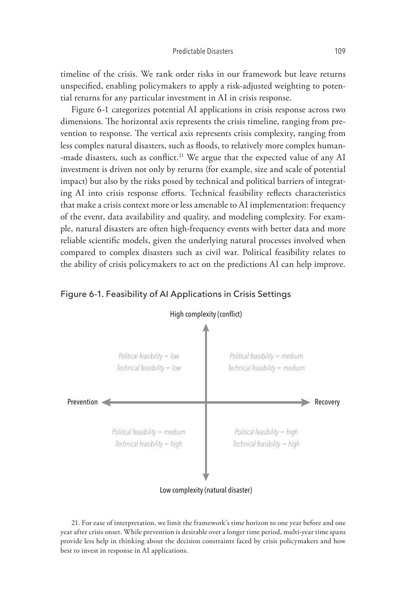timeline of the crisis. We rank order risks in our framework but leave returns unspecified, enabling policymakers to apply a risk-adjusted weighting to potential returns for any particular investment in AI in crisis response.

Figure 6-1 categorizes potential AI applications in crisis response across two dimensions. The horizontal axis represents the crisis timeline, ranging from prevention to response. The vertical axis represents crisis complexity, ranging from less complex natural disasters, such as floods, to relatively more complex human<mark>-</mark> -made disasters, such as conflict.<sup>21</sup> We argue that the expected value of any AI investment is driven not only by returns (for example, size and scale of potential impact) but also by the risks posed by technical and political barriers of integrating AI into crisis response efforts. Technical feasibility reflects characteristics that make a crisis context more or less amenable to AI implementation: frequency of the event, data availability and quality, and modeling complexity. For example, natural disasters are often high-frequency events with better data and more reliable scientific models, given the underlying natural processes involved when compared to complex disasters such as civil war. Political feasibility relates to the ability of crisis policymakers to act on the predictions AI can help improve.

#### Figure 6-1. Feasibility of AI Applications in Crisis Settings



21. For ease of interpretation, we limit the framework's time horizon to one year before and one year after crisis onset. While prevention is desirable over a longer time period, multi-year time spans provide less help in thinking about the decision constraints faced by crisis policymakers and how best to invest in response in AI applications.

#### High complexity (conflict)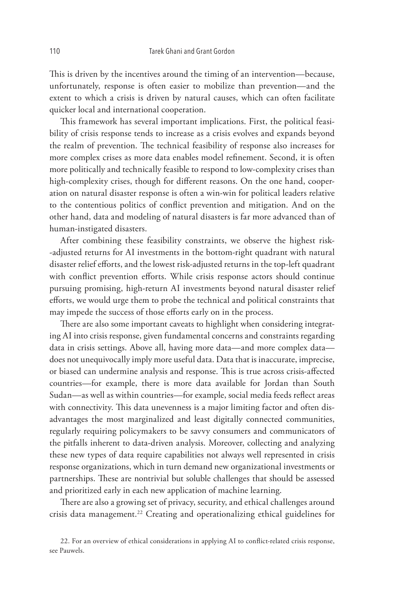This is driven by the incentives around the timing of an intervention—because, unfortunately, response is often easier to mobilize than prevention—and the extent to which a crisis is driven by natural causes, which can often facilitate quicker local and international cooperation.

This framework has several important implications. First, the political feasibility of crisis response tends to increase as a crisis evolves and expands beyond the realm of prevention. The technical feasibility of response also increases for more complex crises as more data enables model refinement. Second, it is often more politically and technically feasible to respond to low-complexity crises than high-complexity crises, though for different reasons. On the one hand, cooperation on natural disaster response is often a win-win for political leaders relative to the contentious politics of conflict prevention and mitigation. And on the other hand, data and modeling of natural disasters is far more advanced than of human-instigated disasters.

After combining these feasibility constraints, we observe the highest risk- -adjusted returns for AI investments in the bottom-right quadrant with natural disaster relief efforts, and the lowest risk-adjusted returns in the top-left quadrant with conflict prevention efforts. While crisis response actors should continue pursuing promising, high-return AI investments beyond natural disaster relief efforts, we would urge them to probe the technical and political constraints that may impede the success of those efforts early on in the process.

There are also some important caveats to highlight when considering integrating AI into crisis response, given fundamental concerns and constraints regarding data in crisis settings. Above all, having more data—and more complex data does not unequivocally imply more useful data. Data that is inaccurate, imprecise, or biased can undermine analysis and response. This is true across crisis-affected countries—for example, there is more data available for Jordan than South Sudan—as well as within countries—for example, social media feeds reflect areas with connectivity. This data unevenness is a major limiting factor and often disadvantages the most marginalized and least digitally connected communities, regularly requiring policymakers to be savvy consumers and communicators of the pitfalls inherent to data-driven analysis. Moreover, collecting and analyzing these new types of data require capabilities not always well represented in crisis response organizations, which in turn demand new organizational investments or partnerships. These are nontrivial but soluble challenges that should be assessed and prioritized early in each new application of machine learning.

There are also a growing set of privacy, security, and ethical challenges around crisis data management.<sup>22</sup> Creating and operationalizing ethical guidelines for

22. For an overview of ethical considerations in applying AI to conflict-related crisis response, see Pauwels.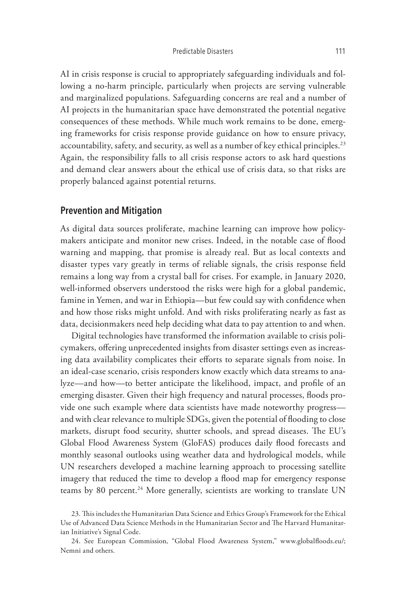AI in crisis response is crucial to appropriately safeguarding individuals and following a no-harm principle, particularly when projects are serving vulnerable and marginalized populations. Safeguarding concerns are real and a number of AI projects in the humanitarian space have demonstrated the potential negative consequences of these methods. While much work remains to be done, emerging frameworks for crisis response provide guidance on how to ensure privacy, accountability, safety, and security, as well as a number of key ethical principles.<sup>23</sup> Again, the responsibility falls to all crisis response actors to ask hard questions and demand clear answers about the ethical use of crisis data, so that risks are properly balanced against potential returns.

## **Prevention and Mitigation**

As digital data sources proliferate, machine learning can improve how policymakers anticipate and monitor new crises. Indeed, in the notable case of flood warning and mapping, that promise is already real. But as local contexts and disaster types vary greatly in terms of reliable signals, the crisis response field remains a long way from a crystal ball for crises. For example, in January 2020, well-informed observers understood the risks were high for a global pandemic, famine in Yemen, and war in Ethiopia—but few could say with confidence when and how those risks might unfold. And with risks proliferating nearly as fast as data, decisionmakers need help deciding what data to pay attention to and when.

Digital technologies have transformed the information available to crisis policymakers, offering unprecedented insights from disaster settings even as increasing data availability complicates their efforts to separate signals from noise. In an ideal-case scenario, crisis responders know exactly which data streams to analyze—and how—to better anticipate the likelihood, impact, and profile of an emerging disaster. Given their high frequency and natural processes, floods provide one such example where data scientists have made noteworthy progress and with clear relevance to multiple SDGs, given the potential of flooding to close markets, disrupt food security, shutter schools, and spread diseases. The EU's Global Flood Awareness System (GloFAS) produces daily flood forecasts and monthly seasonal outlooks using weather data and hydrological models, while UN researchers developed a machine learning approach to processing satellite imagery that reduced the time to develop a flood map for emergency response teams by 80 percent.<sup>24</sup> More generally, scientists are working to translate UN

24. See European Commission, "Global Flood Awareness System," www.globalfloods.eu/; Nemni and others.

<sup>23.</sup> This includes the Humanitarian Data Science and Ethics Group's Framework for the Ethical Use of Advanced Data Science Methods in the Humanitarian Sector and The Harvard Humanitarian Initiative's Signal Code.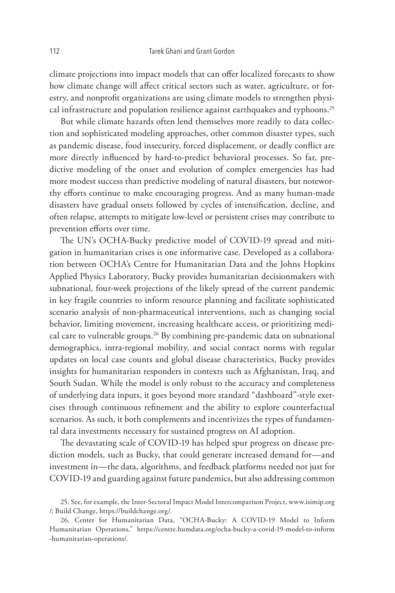climate projections into impact models that can offer localized forecasts to show how climate change will affect critical sectors such as water, agriculture, or forestry, and nonprofit organizations are using climate models to strengthen physical infrastructure and population resilience against earthquakes and typhoons.<sup>25</sup>

But while climate hazards often lend themselves more readily to data collection and sophisticated modeling approaches, other common disaster types, such as pandemic disease, food insecurity, forced displacement, or deadly conflict are more directly influenced by hard-to-predict behavioral processes. So far, predictive modeling of the onset and evolution of complex emergencies has had more modest success than predictive modeling of natural disasters, but noteworthy efforts continue to make encouraging progress. And as many human-made disasters have gradual onsets followed by cycles of intensification, decline, and often relapse, attempts to mitigate low-level or persistent crises may contribute to prevention efforts over time.

The UN's OCHA-Bucky predictive model of COVID-19 spread and mitigation in humanitarian crises is one informative case. Developed as a collaboration between OCHA's Centre for Humanitarian Data and the Johns Hopkins Applied Physics Laboratory, Bucky provides humanitarian decisionmakers with subnational, four-week projections of the likely spread of the current pandemic in key fragile countries to inform resource planning and facilitate sophisticated scenario analysis of non-pharmaceutical interventions, such as changing social behavior, limiting movement, increasing healthcare access, or prioritizing medical care to vulnerable groups.<sup>26</sup> By combining pre-pandemic data on subnational demographics, intra-regional mobility, and social contact norms with regular updates on local case counts and global disease characteristics, Bucky provides insights for humanitarian responders in contexts such as Afghanistan, Iraq, and South Sudan. While the model is only robust to the accuracy and completeness of underlying data inputs, it goes beyond more standard "dashboard"-style exercises through continuous refinement and the ability to explore counterfactual scenarios. As such, it both complements and incentivizes the types of fundamental data investments necessary for sustained progress on AI adoption.

The devastating scale of COVID-19 has helped spur progress on disease prediction models, such as Bucky, that could generate increased demand for—and investment in—the data, algorithms, and feedback platforms needed not just for COVID-19 and guarding against future pandemics, but also addressing common

<sup>25.</sup> See, for example, the Inter-Sectoral Impact Model Intercomparison Project, www.isimip.org /; Build Change, https://buildchange.org/.

<sup>26.</sup> Center for Humanitarian Data, "OCHA-Bucky: A COVID-19 Model to Inform Humanitarian Operations," https://centre.humdata.org/ocha-bucky-a-covid-19-model-to-inform -humanitarian-operations/.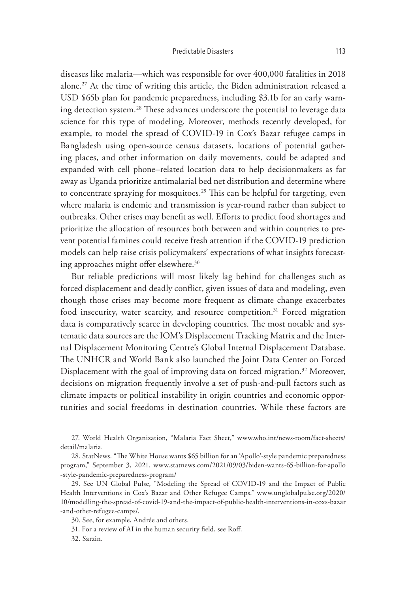diseases like malaria—which was responsible for over 400,000 fatalities in 2018 alone.27 At the time of writing this article, the Biden administration released a USD \$65b plan for pandemic preparedness, including \$3.1b for an early warning detection system.<sup>28</sup> These advances underscore the potential to leverage data science for this type of modeling. Moreover, methods recently developed, for example, to model the spread of COVID-19 in Cox's Bazar refugee camps in Bangladesh using open-source census datasets, locations of potential gathering places, and other information on daily movements, could be adapted and expanded with cell phone–related location data to help decisionmakers as far away as Uganda prioritize antimalarial bed net distribution and determine where to concentrate spraying for mosquitoes.<sup>29</sup> This can be helpful for targeting, even where malaria is endemic and transmission is year-round rather than subject to outbreaks. Other crises may benefit as well. Efforts to predict food shortages and prioritize the allocation of resources both between and within countries to prevent potential famines could receive fresh attention if the COVID-19 prediction models can help raise crisis policymakers' expectations of what insights forecasting approaches might offer elsewhere.30

But reliable predictions will most likely lag behind for challenges such as forced displacement and deadly conflict, given issues of data and modeling, even though those crises may become more frequent as climate change exacerbates food insecurity, water scarcity, and resource competition.<sup>31</sup> Forced migration data is comparatively scarce in developing countries. The most notable and systematic data sources are the IOM's Displacement Tracking Matrix and the Internal Displacement Monitoring Centre's Global Internal Displacement Database. The UNHCR and World Bank also launched the Joint Data Center on Forced Displacement with the goal of improving data on forced migration.<sup>32</sup> Moreover, decisions on migration frequently involve a set of push-and-pull factors such as climate impacts or political instability in origin countries and economic opportunities and social freedoms in destination countries. While these factors are

27. World Health Organization, "Malaria Fact Sheet," www.who.int/news-room/fact-sheets/ detail/malaria.

<sup>28.</sup> StatNews. "The White House wants \$65 billion for an 'Apollo'-style pandemic preparedness program," September 3, 2021. www.statnews.com/2021/09/03/biden-wants-65-billion-for-apollo -style-pandemic-preparedness-program/

<sup>29.</sup> See UN Global Pulse, "Modeling the Spread of COVID-19 and the Impact of Public Health Interventions in Cox's Bazar and Other Refugee Camps." www.unglobalpulse.org/2020/ 10/modelling-the-spread-of-covid-19-and-the-impact-of-public-health-interventions-in-coxs-bazar -and-other-refugee-camps/.

<sup>30.</sup> See, for example, Andrée and others.

<sup>31.</sup> For a review of AI in the human security field, see Roff.

<sup>32.</sup> Sarzin.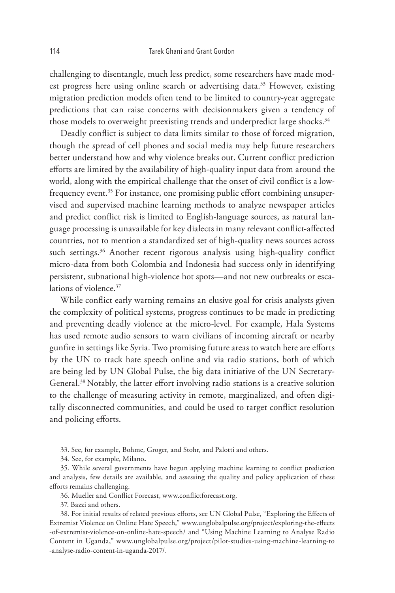challenging to disentangle, much less predict, some researchers have made modest progress here using online search or advertising data.<sup>33</sup> However, existing migration prediction models often tend to be limited to country-year aggregate predictions that can raise concerns with decisionmakers given a tendency of those models to overweight preexisting trends and underpredict large shocks.<sup>34</sup>

Deadly conflict is subject to data limits similar to those of forced migration, though the spread of cell phones and social media may help future researchers better understand how and why violence breaks out. Current conflict prediction efforts are limited by the availability of high-quality input data from around the world, along with the empirical challenge that the onset of civil conflict is a lowfrequency event.<sup>35</sup> For instance, one promising public effort combining unsupervised and supervised machine learning methods to analyze newspaper articles and predict conflict risk is limited to English-language sources, as natural language processing is unavailable for key dialects in many relevant conflict-affected countries, not to mention a standardized set of high-quality news sources across such settings.<sup>36</sup> Another recent rigorous analysis using high-quality conflict micro-data from both Colombia and Indonesia had success only in identifying persistent, subnational high-violence hot spots—and not new outbreaks or escalations of violence.<sup>37</sup>

While conflict early warning remains an elusive goal for crisis analysts given the complexity of political systems, progress continues to be made in predicting and preventing deadly violence at the micro-level. For example, Hala Systems has used remote audio sensors to warn civilians of incoming aircraft or nearby gunfire in settings like Syria. Two promising future areas to watch here are efforts by the UN to track hate speech online and via radio stations, both of which are being led by UN Global Pulse, the big data initiative of the UN Secretary-General.38Notably, the latter effort involving radio stations is a creative solution to the challenge of measuring activity in remote, marginalized, and often digitally disconnected communities, and could be used to target conflict resolution and policing efforts.

33. See, for example, Bohme, Groger, and Stohr, and Palotti and others.

34. See, for example, Milano**.**

35. While several governments have begun applying machine learning to conflict prediction and analysis, few details are available, and assessing the quality and policy application of these efforts remains challenging.

36. Mueller and Conflict Forecast, www.conflictforecast.org.

37. Bazzi and others.

38. For initial results of related previous efforts, see UN Global Pulse, "Exploring the Effects of Extremist Violence on Online Hate Speech," www.unglobalpulse.org/project/exploring-the-effects -of-extremist-violence-on-online-hate-speech/ and "Using Machine Learning to Analyse Radio Content in Uganda," www.unglobalpulse.org/project/pilot-studies-using-machine-learning-to -analyse-radio-content-in-uganda-2017/.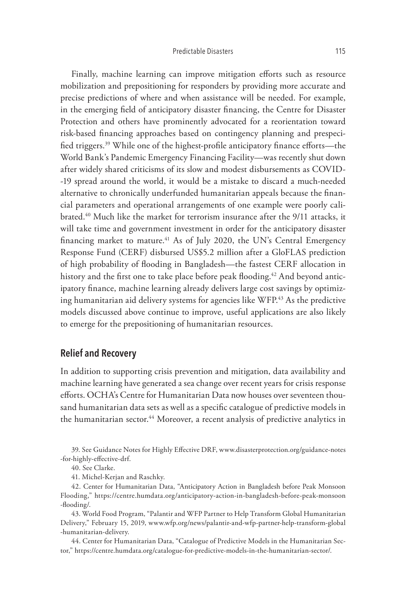Finally, machine learning can improve mitigation efforts such as resource mobilization and prepositioning for responders by providing more accurate and precise predictions of where and when assistance will be needed. For example, in the emerging field of anticipatory disaster financing, the Centre for Disaster Protection and others have prominently advocated for a reorientation toward risk-based financing approaches based on contingency planning and prespecified triggers.39 While one of the highest-profile anticipatory finance efforts—the World Bank's Pandemic Emergency Financing Facility—was recently shut down after widely shared criticisms of its slow and modest disbursements as COVID- -19 spread around the world, it would be a mistake to discard a much-needed alternative to chronically underfunded humanitarian appeals because the financial parameters and operational arrangements of one example were poorly calibrated.<sup>40</sup> Much like the market for terrorism insurance after the 9/11 attacks, it will take time and government investment in order for the anticipatory disaster financing market to mature.<sup>41</sup> As of July 2020, the UN's Central Emergency Response Fund (CERF) disbursed US\$5.2 million after a GloFLAS prediction of high probability of flooding in Bangladesh—the fastest CERF allocation in history and the first one to take place before peak flooding.<sup>42</sup> And beyond anticipatory finance, machine learning already delivers large cost savings by optimizing humanitarian aid delivery systems for agencies like WFP.43 As the predictive models discussed above continue to improve, useful applications are also likely to emerge for the prepositioning of humanitarian resources.

# **Relief and Recovery**

In addition to supporting crisis prevention and mitigation, data availability and machine learning have generated a sea change over recent years for crisis response efforts. OCHA's Centre for Humanitarian Data now houses over seventeen thousand humanitarian data sets as well as a specific catalogue of predictive models in the humanitarian sector.<sup>44</sup> Moreover, a recent analysis of predictive analytics in

39. See Guidance Notes for Highly Effective DRF, www.disasterprotection.org/guidance-notes -for-highly-effective-drf.

42. Center for Humanitarian Data, "Anticipatory Action in Bangladesh before Peak Monsoon Flooding," https:/ /centre.humdata.org/anticipatory-action-in-bangladesh-before-peak-monsoon -flooding/.

43. World Food Program, "Palantir and WFP Partner to Help Transform Global Humanitarian Delivery," February 15, 2019, www.wfp.org/news/palantir-and-wfp-partner-help-transform-global -humanitarian-delivery.

44. Center for Humanitarian Data, "Catalogue of Predictive Models in the Humanitarian Sector," https://centre.humdata.org/catalogue-for-predictive-models-in-the-humanitarian-sector/.

<sup>40.</sup> See Clarke.

<sup>41.</sup> Michel-Kerjan and Raschky.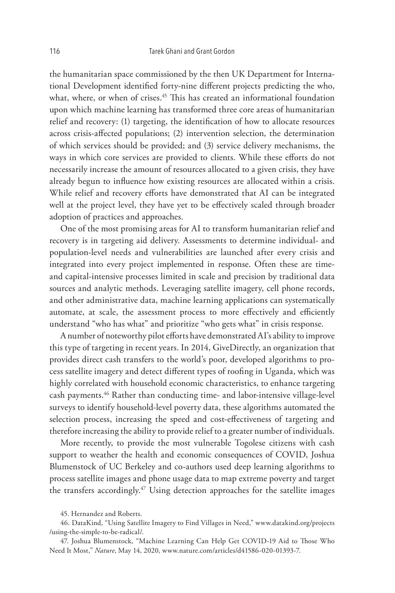the humanitarian space commissioned by the then UK Department for International Development identified forty-nine different projects predicting the who, what, where, or when of crises.<sup>45</sup> This has created an informational foundation upon which machine learning has transformed three core areas of humanitarian relief and recovery: (1) targeting, the identification of how to allocate resources across crisis-affected populations; (2) intervention selection, the determination of which services should be provided; and (3) service delivery mechanisms, the ways in which core services are provided to clients. While these efforts do not necessarily increase the amount of resources allocated to a given crisis, they have already begun to influence how existing resources are allocated within a crisis. While relief and recovery efforts have demonstrated that AI can be integrated well at the project level, they have yet to be effectively scaled through broader adoption of practices and approaches.

One of the most promising areas for AI to transform humanitarian relief and recovery is in targeting aid delivery. Assessments to determine individual- and population-level needs and vulnerabilities are launched after every crisis and integrated into every project implemented in response. Often these are timeand capital-intensive processes limited in scale and precision by traditional data sources and analytic methods. Leveraging satellite imagery, cell phone records, and other administrative data, machine learning applications can systematically automate, at scale, the assessment process to more effectively and efficiently understand "who has what" and prioritize "who gets what" in crisis response.

A number of noteworthy pilot efforts have demonstrated AI's ability to improve this type of targeting in recent years. In 2014, GiveDirectly, an organization that provides direct cash transfers to the world's poor, developed algorithms to process satellite imagery and detect different types of roofing in Uganda, which was highly correlated with household economic characteristics, to enhance targeting cash payments.46 Rather than conducting time- and labor-intensive village-level surveys to identify household-level poverty data, these algorithms automated the selection process, increasing the speed and cost-effectiveness of targeting and therefore increasing the ability to provide relief to a greater number of individuals.

More recently, to provide the most vulnerable Togolese citizens with cash support to weather the health and economic consequences of COVID, Joshua Blumenstock of UC Berkeley and co-authors used deep learning algorithms to process satellite images and phone usage data to map extreme poverty and target the transfers accordingly.<sup>47</sup> Using detection approaches for the satellite images

<sup>45.</sup> Hernandez and Roberts.

<sup>46.</sup> DataKind, "Using Satellite Imagery to Find Villages in Need," www.datakind.org/projects /using-the-simple-to-be-radical/.

<sup>47.</sup> Joshua Blumenstock, "Machine Learning Can Help Get COVID-19 Aid to Those Who Need It Most," *Nature*, May 14, 2020, www.nature.com/articles/d41586-020-01393-7.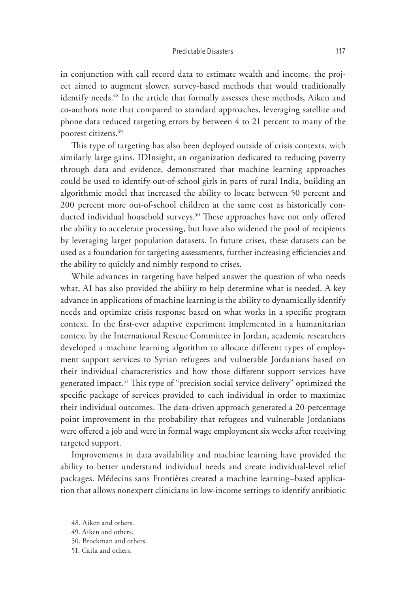in conjunction with call record data to estimate wealth and income, the project aimed to augment slower, survey-based methods that would traditionally identify needs.<sup>48</sup> In the article that formally assesses these methods, Aiken and co-authors note that compared to standard approaches, leveraging satellite and phone data reduced targeting errors by between 4 to 21 percent to many of the poorest citizens.49

This type of targeting has also been deployed outside of crisis contexts, with similarly large gains. IDInsight, an organization dedicated to reducing poverty through data and evidence, demonstrated that machine learning approaches could be used to identify out-of-school girls in parts of rural India, building an algorithmic model that increased the ability to locate between 50 percent and 200 percent more out-of-school children at the same cost as historically conducted individual household surveys.<sup>50</sup> These approaches have not only offered the ability to accelerate processing, but have also widened the pool of recipients by leveraging larger population datasets. In future crises, these datasets can be used as a foundation for targeting assessments, further increasing efficiencies and the ability to quickly and nimbly respond to crises.

While advances in targeting have helped answer the question of who needs what, AI has also provided the ability to help determine what is needed. A key advance in applications of machine learning is the ability to dynamically identify needs and optimize crisis response based on what works in a specific program context. In the first-ever adaptive experiment implemented in a humanitarian context by the International Rescue Committee in Jordan, academic researchers developed a machine learning algorithm to allocate different types of employment support services to Syrian refugees and vulnerable Jordanians based on their individual characteristics and how those different support services have generated impact.<sup>51</sup> This type of "precision social service delivery" optimized the specific package of services provided to each individual in order to maximize their individual outcomes. The data-driven approach generated a 20-percentage point improvement in the probability that refugees and vulnerable Jordanians were offered a job and were in formal wage employment six weeks after receiving targeted support.

Improvements in data availability and machine learning have provided the ability to better understand individual needs and create individual-level relief packages. Médecins sans Frontières created a machine learning–based application that allows nonexpert clinicians in low-income settings to identify antibiotic

- 50. Brockman and others.
- 51. Caria and others.

<sup>48.</sup> Aiken and others.

<sup>49.</sup> Aiken and others.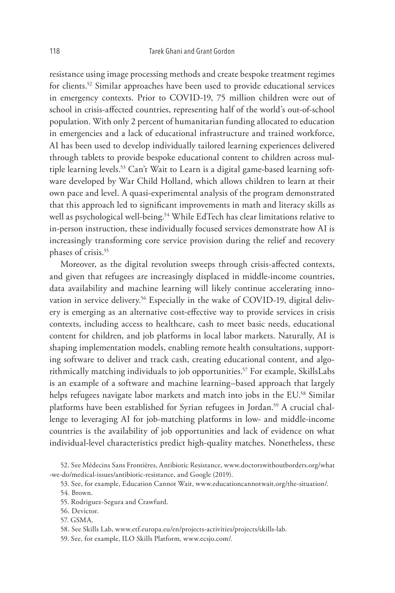resistance using image processing methods and create bespoke treatment regimes for clients.52 Similar approaches have been used to provide educational services in emergency contexts. Prior to COVID-19, 75 million children were out of school in crisis-affected countries, representing half of the world's out-of-school population. With only 2 percent of humanitarian funding allocated to education in emergencies and a lack of educational infrastructure and trained workforce, AI has been used to develop individually tailored learning experiences delivered through tablets to provide bespoke educational content to children across multiple learning levels.53 Can't Wait to Learn is a digital game-based learning software developed by War Child Holland, which allows children to learn at their own pace and level. A quasi-experimental analysis of the program demonstrated that this approach led to significant improvements in math and literacy skills as well as psychological well-being.<sup>54</sup> While EdTech has clear limitations relative to in-person instruction, these individually focused services demonstrate how AI is increasingly transforming core service provision during the relief and recovery phases of crisis.<sup>55</sup>

Moreover, as the digital revolution sweeps through crisis-affected contexts, and given that refugees are increasingly displaced in middle-income countries, data availability and machine learning will likely continue accelerating innovation in service delivery.<sup>56</sup> Especially in the wake of COVID-19, digital delivery is emerging as an alternative cost-effective way to provide services in crisis contexts, including access to healthcare, cash to meet basic needs, educational content for children, and job platforms in local labor markets. Naturally, AI is shaping implementation models, enabling remote health consultations, supporting software to deliver and track cash, creating educational content, and algorithmically matching individuals to job opportunities.57 For example, SkillsLabs is an example of a software and machine learning–based approach that largely helps refugees navigate labor markets and match into jobs in the EU.<sup>58</sup> Similar platforms have been established for Syrian refugees in Jordan.<sup>59</sup> A crucial challenge to leveraging AI for job-matching platforms in low- and middle-income countries is the availability of job opportunities and lack of evidence on what individual-level characteristics predict high-quality matches. Nonetheless, these

57. GSMA.

59. See, for example, ILO Skills Platform, www.ecsjo.com/.

<sup>52.</sup> See Médecins Sans Frontières, Antibiotic Resistance, www.doctorswithoutborders.org/what -we-do/medical-issues/antibiotic-resistance, and Google (2019).

<sup>53.</sup> See, for example, Education Cannot Wait, www.educationcannotwait.org/the-situation/.

<sup>54.</sup> Brown.

<sup>55.</sup> Rodriguez-Segura and Crawfurd.

<sup>56.</sup> Devictor.

<sup>58.</sup> See Skills Lab, www.etf.europa.eu/en/projects-activities/projects/skills-lab.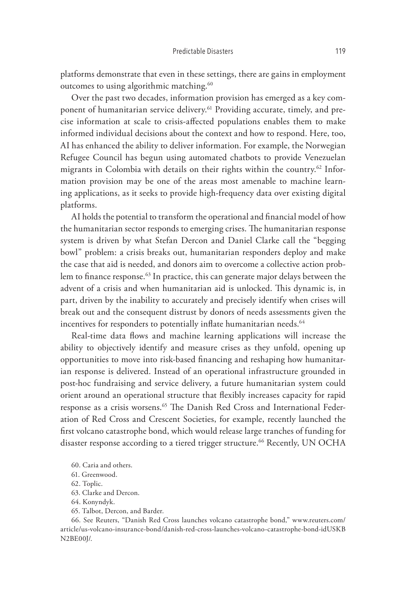platforms demonstrate that even in these settings, there are gains in employment outcomes to using algorithmic matching.<sup>60</sup>

Over the past two decades, information provision has emerged as a key component of humanitarian service delivery.<sup>61</sup> Providing accurate, timely, and precise information at scale to crisis-affected populations enables them to make informed individual decisions about the context and how to respond. Here, too, AI has enhanced the ability to deliver information. For example, the Norwegian Refugee Council has begun using automated chatbots to provide Venezuelan migrants in Colombia with details on their rights within the country.62 Information provision may be one of the areas most amenable to machine learning applications, as it seeks to provide high-frequency data over existing digital platforms.

AI holds the potential to transform the operational and financial model of how the humanitarian sector responds to emerging crises. The humanitarian response system is driven by what Stefan Dercon and Daniel Clarke call the "begging bowl" problem: a crisis breaks out, humanitarian responders deploy and make the case that aid is needed, and donors aim to overcome a collective action problem to finance response.<sup>63</sup> In practice, this can generate major delays between the advent of a crisis and when humanitarian aid is unlocked. This dynamic is, in part, driven by the inability to accurately and precisely identify when crises will break out and the consequent distrust by donors of needs assessments given the incentives for responders to potentially inflate humanitarian needs.<sup>64</sup>

Real-time data flows and machine learning applications will increase the ability to objectively identify and measure crises as they unfold, opening up opportunities to move into risk-based financing and reshaping how humanitarian response is delivered. Instead of an operational infrastructure grounded in post-hoc fundraising and service delivery, a future humanitarian system could orient around an operational structure that flexibly increases capacity for rapid response as a crisis worsens.<sup>65</sup> The Danish Red Cross and International Federation of Red Cross and Crescent Societies, for example, recently launched the first volcano catastrophe bond, which would release large tranches of funding for disaster response according to a tiered trigger structure.<sup>66</sup> Recently, UN OCHA

- 61. Greenwood.
- 62. Toplic.
- 63. Clarke and Dercon.
- 64. Konyndyk.
- 65. Talbot, Dercon, and Barder.

66. See Reuters, "Danish Red Cross launches volcano catastrophe bond," www.reuters.com/ article/us-volcano-insurance-bond/danish-red-cross-launches-volcano-catastrophe-bond-idUSKB N2BE00J/.

<sup>60.</sup> Caria and others.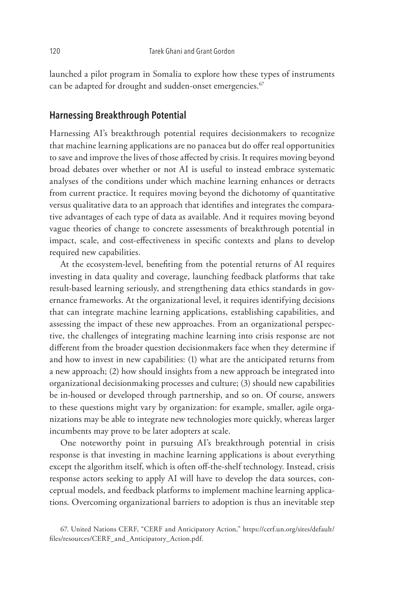launched a pilot program in Somalia to explore how these types of instruments can be adapted for drought and sudden-onset emergencies.<sup>67</sup>

## **Harnessing Breakthrough Potential**

Harnessing AI's breakthrough potential requires decisionmakers to recognize that machine learning applications are no panacea but do offer real opportunities to save and improve the lives of those affected by crisis. It requires moving beyond broad debates over whether or not AI is useful to instead embrace systematic analyses of the conditions under which machine learning enhances or detracts from current practice. It requires moving beyond the dichotomy of quantitative versus qualitative data to an approach that identifies and integrates the comparative advantages of each type of data as available. And it requires moving beyond vague theories of change to concrete assessments of breakthrough potential in impact, scale, and cost-effectiveness in specific contexts and plans to develop required new capabilities.

At the ecosystem-level, benefiting from the potential returns of AI requires investing in data quality and coverage, launching feedback platforms that take result-based learning seriously, and strengthening data ethics standards in governance frameworks. At the organizational level, it requires identifying decisions that can integrate machine learning applications, establishing capabilities, and assessing the impact of these new approaches. From an organizational perspective, the challenges of integrating machine learning into crisis response are not different from the broader question decisionmakers face when they determine if and how to invest in new capabilities: (1) what are the anticipated returns from a new approach; (2) how should insights from a new approach be integrated into organizational decisionmaking processes and culture; (3) should new capabilities be in-housed or developed through partnership, and so on. Of course, answers to these questions might vary by organization: for example, smaller, agile organizations may be able to integrate new technologies more quickly, whereas larger incumbents may prove to be later adopters at scale.

One noteworthy point in pursuing AI's breakthrough potential in crisis response is that investing in machine learning applications is about everything except the algorithm itself, which is often off-the-shelf technology. Instead, crisis response actors seeking to apply AI will have to develop the data sources, conceptual models, and feedback platforms to implement machine learning applications. Overcoming organizational barriers to adoption is thus an inevitable step

<sup>67.</sup> United Nations CERF, "CERF and Anticipatory Action," https://cerf.un.org/sites/default/ files/resources/CERF\_and\_Anticipatory\_Action.pdf.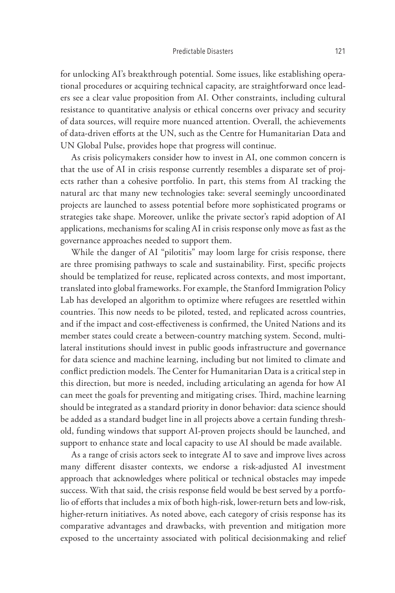for unlocking AI's breakthrough potential. Some issues, like establishing operational procedures or acquiring technical capacity, are straightforward once leaders see a clear value proposition from AI. Other constraints, including cultural resistance to quantitative analysis or ethical concerns over privacy and security of data sources, will require more nuanced attention. Overall, the achievements of data-driven efforts at the UN, such as the Centre for Humanitarian Data and UN Global Pulse, provides hope that progress will continue.

As crisis policymakers consider how to invest in AI, one common concern is that the use of AI in crisis response currently resembles a disparate set of projects rather than a cohesive portfolio. In part, this stems from AI tracking the natural arc that many new technologies take: several seemingly uncoordinated projects are launched to assess potential before more sophisticated programs or strategies take shape. Moreover, unlike the private sector's rapid adoption of AI applications, mechanisms for scaling AI in crisis response only move as fast as the governance approaches needed to support them.

While the danger of AI "pilotitis" may loom large for crisis response, there are three promising pathways to scale and sustainability. First, specific projects should be templatized for reuse, replicated across contexts, and most important, translated into global frameworks. For example, the Stanford Immigration Policy Lab has developed an algorithm to optimize where refugees are resettled within countries. This now needs to be piloted, tested, and replicated across countries, and if the impact and cost-effectiveness is confirmed, the United Nations and its member states could create a between-country matching system. Second, multilateral institutions should invest in public goods infrastructure and governance for data science and machine learning, including but not limited to climate and conflict prediction models. The Center for Humanitarian Data is a critical step in this direction, but more is needed, including articulating an agenda for how AI can meet the goals for preventing and mitigating crises. Third, machine learning should be integrated as a standard priority in donor behavior: data science should be added as a standard budget line in all projects above a certain funding threshold, funding windows that support AI-proven projects should be launched, and support to enhance state and local capacity to use AI should be made available.

As a range of crisis actors seek to integrate AI to save and improve lives across many different disaster contexts, we endorse a risk-adjusted AI investment approach that acknowledges where political or technical obstacles may impede success. With that said, the crisis response field would be best served by a portfolio of efforts that includes a mix of both high-risk, lower-return bets and low-risk, higher-return initiatives. As noted above, each category of crisis response has its comparative advantages and drawbacks, with prevention and mitigation more exposed to the uncertainty associated with political decisionmaking and relief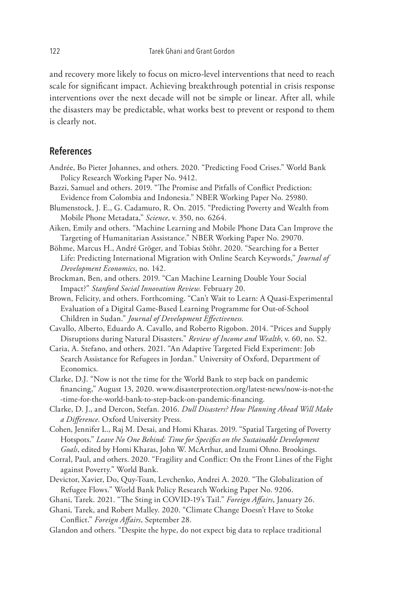and recovery more likely to focus on micro-level interventions that need to reach scale for significant impact. Achieving breakthrough potential in crisis response interventions over the next decade will not be simple or linear. After all, while the disasters may be predictable, what works best to prevent or respond to them is clearly not.

## **References**

- Andrée, Bo Pieter Johannes, and others. 2020. "Predicting Food Crises." World Bank Policy Research Working Paper No. 9412.
- Bazzi, Samuel and others. 2019. "The Promise and Pitfalls of Conflict Prediction: Evidence from Colombia and Indonesia." NBER Working Paper No. 25980.
- Blumenstock, J. E., G. Cadamuro, R. On. 2015. "Predicting Poverty and Wealth from Mobile Phone Metadata," *Science*, v. 350, no. 6264.
- Aiken, Emily and others. "Machine Learning and Mobile Phone Data Can Improve the Targeting of Humanitarian Assistance." NBER Working Paper No. 29070.
- Böhme, Marcus H., André Gröger, and Tobias Stöhr. 2020. "Searching for a Better Life: Predicting International Migration with Online Search Keywords," *Journal of Development Economics*, no. 142.
- Brockman, Ben, and others. 2019. "Can Machine Learning Double Your Social Impact?" *Stanford Social Innovation Review.* February 20.
- Brown, Felicity, and others. Forthcoming. "Can't Wait to Learn: A Quasi-Experimental Evaluation of a Digital Game-Based Learning Programme for Out-of-School Children in Sudan." *Journal of Development Effectiveness.*
- Cavallo, Alberto, Eduardo A. Cavallo, and Roberto Rigobon. 2014. "Prices and Supply Disruptions during Natural Disasters." *Review of Income and Wealth*, v. 60, no. S2.
- Caria, A. Stefano, and others. 2021. "An Adaptive Targeted Field Experiment: Job Search Assistance for Refugees in Jordan." University of Oxford, Department of Economics.
- Clarke, D.J. "Now is not the time for the World Bank to step back on pandemic financing," August 13, 2020. www.disasterprotection.org/latest-news/now-is-not-the -time-for-the-world-bank-to-step-back-on-pandemic-financing.
- Clarke, D. J., and Dercon, Stefan. 2016. *Dull Disasters? How Planning Ahead Will Make a Difference*. Oxford University Press.
- Cohen, Jennifer L., Raj M. Desai, and Homi Kharas. 2019. "Spatial Targeting of Poverty Hotspots." *Leave No One Behind: Time for Specifics on the Sustainable Development Goals*, edited by Homi Kharas, John W. McArthur, and Izumi Ohno. Brookings.
- Corral, Paul, and others. 2020. "Fragility and Conflict: On the Front Lines of the Fight against Poverty." World Bank.
- Devictor, Xavier, Do, Quy-Toan, Levchenko, Andrei A. 2020. "The Globalization of Refugee Flows." World Bank Policy Research Working Paper No. 9206.
- Ghani, Tarek. 2021. "The Sting in COVID-19's Tail." *Foreign Affairs*, January 26.
- Ghani, Tarek, and Robert Malley. 2020. "Climate Change Doesn't Have to Stoke Conflict." *Foreign Affairs*, September 28.
- Glandon and others. "Despite the hype, do not expect big data to replace traditional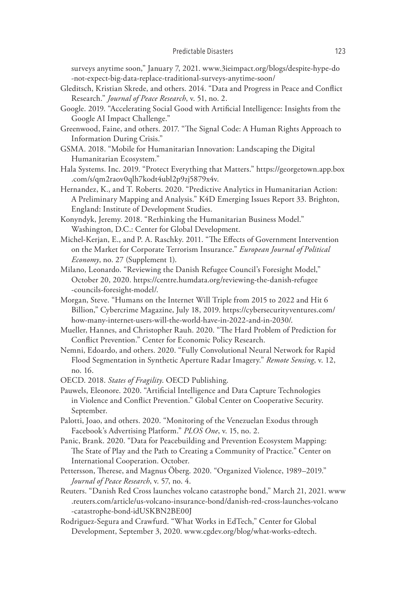surveys anytime soon," January 7, 2021. www.3ieimpact.org/blogs/despite-hype-do -not-expect-big-data-replace-traditional-surveys-anytime-soon/

- Gleditsch, Kristian Skrede, and others. 2014. "Data and Progress in Peace and Conflict Research." *Journal of Peace Research*, v. 51, no. 2.
- Google. 2019. "Accelerating Social Good with Artificial Intelligence: Insights from the Google AI Impact Challenge."
- Greenwood, Faine, and others. 2017. "The Signal Code: A Human Rights Approach to Information During Crisis."
- GSMA. 2018. "Mobile for Humanitarian Innovation: Landscaping the Digital Humanitarian Ecosystem."
- Hala Systems. Inc. 2019. "Protect Everything that Matters." https://georgetown.app.box .com/s/qm2raov0qlh7kodt4ubl2p9zj5879x4v.
- Hernandez, K., and T. Roberts. 2020. "Predictive Analytics in Humanitarian Action: A Preliminary Mapping and Analysis." K4D Emerging Issues Report 33. Brighton, England: Institute of Development Studies.
- Konyndyk, Jeremy. 2018. "Rethinking the Humanitarian Business Model." Washington, D.C.: Center for Global Development.
- Michel-Kerjan, E., and P. A. Raschky. 2011. "The Effects of Government Intervention on the Market for Corporate Terrorism Insurance." *European Journal of Political Economy*, no. 27 (Supplement 1).
- Milano, Leonardo. "Reviewing the Danish Refugee Council's Foresight Model," October 20, 2020. https://centre.humdata.org/reviewing-the-danish-refugee -councils-foresight-model/.
- Morgan, Steve. "Humans on the Internet Will Triple from 2015 to 2022 and Hit 6 Billion," Cybercrime Magazine, July 18, 2019. https://cybersecurityventures.com/ how-many-internet-users-will-the-world-have-in-2022-and-in-2030/.
- Mueller, Hannes, and Christopher Rauh. 2020. "The Hard Problem of Prediction for Conflict Prevention." Center for Economic Policy Research.
- Nemni, Edoardo, and others. 2020. "Fully Convolutional Neural Network for Rapid Flood Segmentation in Synthetic Aperture Radar Imagery." *Remote Sensing*, v. 12, no. 16.
- OECD. 2018. *States of Fragility*. OECD Publishing.
- Pauwels, Eleonore. 2020. "Artificial Intelligence and Data Capture Technologies in Violence and Conflict Prevention." Global Center on Cooperative Security. September.
- Palotti, Joao, and others. 2020. "Monitoring of the Venezuelan Exodus through Facebook's Advertising Platform." *PLOS One*, v. 15, no. 2.
- Panic, Brank. 2020. "Data for Peacebuilding and Prevention Ecosystem Mapping: The State of Play and the Path to Creating a Community of Practice." Center on International Cooperation. October.
- Pettersson, Therese, and Magnus Öberg. 2020. "Organized Violence, 1989–2019." *Journal of Peace Research*, v. 57, no. 4.
- Reuters. "Danish Red Cross launches volcano catastrophe bond," March 21, 2021. www .reuters.com/article/us-volcano-insurance-bond/danish-red-cross-launches-volcano -catastrophe-bond-idUSKBN2BE00J
- Rodriguez-Segura and Crawfurd. "What Works in EdTech," Center for Global Development, September 3, 2020. www.cgdev.org/blog/what-works-edtech.